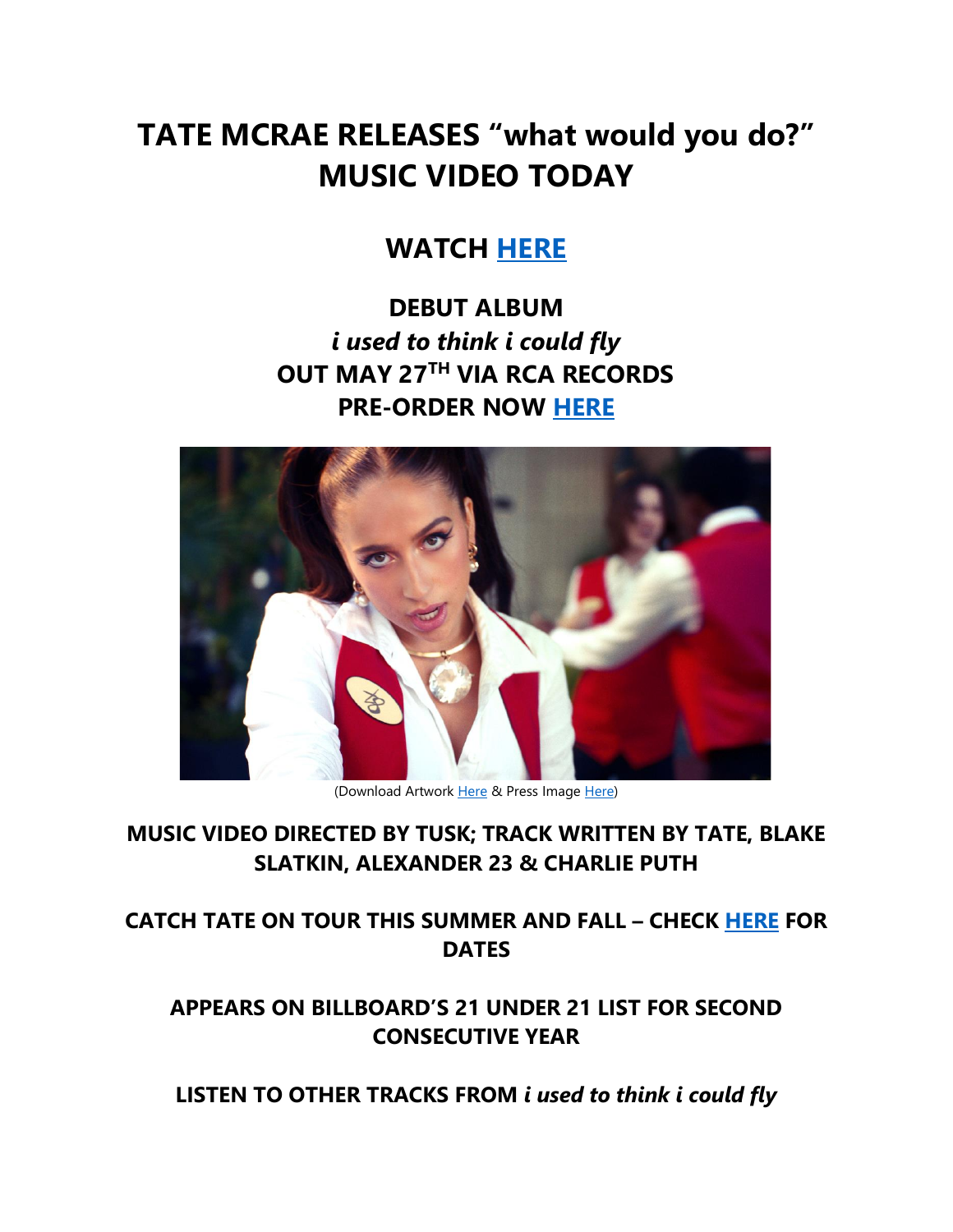# **TATE MCRAE RELEASES "what would you do?" MUSIC VIDEO TODAY**

## **WATCH [HERE](https://eur01.safelinks.protection.outlook.com/?url=https%3A%2F%2Ftatemcrae.lnk.to%2Fwhatwouldyoudo%2Fyoutube&data=05%7C01%7Cnoelle.janasiewicz.sme%40sonymusic.com%7C4326e25c2ce24e986dec08da3a75f5a2%7Cf0aff3b791a54aaeaf71c63e1dda2049%7C0%7C0%7C637886575577685976%7CUnknown%7CTWFpbGZsb3d8eyJWIjoiMC4wLjAwMDAiLCJQIjoiV2luMzIiLCJBTiI6Ik1haWwiLCJXVCI6Mn0%3D%7C3000%7C%7C%7C&sdata=5VItO25QUFc0LkuQ%2BHhGUN7aGAIFJeDdgRr%2BCDzOlKc%3D&reserved=0)**

**DEBUT ALBUM**  *i used to think i could fly* **OUT MAY 27 TH VIA RCA RECORDS PRE-ORDER NOW [HERE](https://eur01.safelinks.protection.outlook.com/?url=https%3A%2F%2Ftatemcrae.lnk.to%2Fiutticf&data=05%7C01%7Cnoelle.janasiewicz.sme%40sonymusic.com%7C4326e25c2ce24e986dec08da3a75f5a2%7Cf0aff3b791a54aaeaf71c63e1dda2049%7C0%7C0%7C637886575577842217%7CUnknown%7CTWFpbGZsb3d8eyJWIjoiMC4wLjAwMDAiLCJQIjoiV2luMzIiLCJBTiI6Ik1haWwiLCJXVCI6Mn0%3D%7C3000%7C%7C%7C&sdata=%2BN%2FmHFwLDw0WRyQeGRLP4lgJnBTtrnsfl%2Bhrp8A9llw%3D&reserved=0)**



(Download Artwork [Here](https://eur01.safelinks.protection.outlook.com/?url=https%3A%2F%2Fapp.box.com%2Fs%2Fdp2szs6d9b95chca6wt61pwg02on4nap&data=05%7C01%7Cnoelle.janasiewicz.sme%40sonymusic.com%7C4326e25c2ce24e986dec08da3a75f5a2%7Cf0aff3b791a54aaeaf71c63e1dda2049%7C0%7C0%7C637886575577842217%7CUnknown%7CTWFpbGZsb3d8eyJWIjoiMC4wLjAwMDAiLCJQIjoiV2luMzIiLCJBTiI6Ik1haWwiLCJXVCI6Mn0%3D%7C3000%7C%7C%7C&sdata=t2MTQ6Ks9Dg67tKYf2Cn7MGcFHFSBV1YkAH8DgE78XM%3D&reserved=0) & Press Imag[e Here\)](https://eur01.safelinks.protection.outlook.com/?url=https%3A%2F%2Fapp.box.com%2Fs%2Fgkblzvj2mm7zhaf3b9i0tginy6ffstjo&data=05%7C01%7Cnoelle.janasiewicz.sme%40sonymusic.com%7C4326e25c2ce24e986dec08da3a75f5a2%7Cf0aff3b791a54aaeaf71c63e1dda2049%7C0%7C0%7C637886575577842217%7CUnknown%7CTWFpbGZsb3d8eyJWIjoiMC4wLjAwMDAiLCJQIjoiV2luMzIiLCJBTiI6Ik1haWwiLCJXVCI6Mn0%3D%7C3000%7C%7C%7C&sdata=vrje9McQyNfIv%2FpHc4RAKYGmXvtLDaHtRuZ1KmoaPb0%3D&reserved=0)

### **MUSIC VIDEO DIRECTED BY TUSK; TRACK WRITTEN BY TATE, BLAKE SLATKIN, ALEXANDER 23 & CHARLIE PUTH**

**CATCH TATE ON TOUR THIS SUMMER AND FALL – CHECK [HERE](https://eur01.safelinks.protection.outlook.com/?url=http%3A%2F%2Fwww.tatemcrae.com%2Ftour&data=05%7C01%7Cnoelle.janasiewicz.sme%40sonymusic.com%7C4326e25c2ce24e986dec08da3a75f5a2%7Cf0aff3b791a54aaeaf71c63e1dda2049%7C0%7C0%7C637886575577842217%7CUnknown%7CTWFpbGZsb3d8eyJWIjoiMC4wLjAwMDAiLCJQIjoiV2luMzIiLCJBTiI6Ik1haWwiLCJXVCI6Mn0%3D%7C3000%7C%7C%7C&sdata=W7PhWtySOoXWIP%2FpFunKTT%2BCUwXf3qp9DiStKb5UUX8%3D&reserved=0) FOR DATES**

### **APPEARS ON BILLBOARD'S 21 UNDER 21 LIST FOR SECOND CONSECUTIVE YEAR**

**LISTEN TO OTHER TRACKS FROM** *i used to think i could fly*